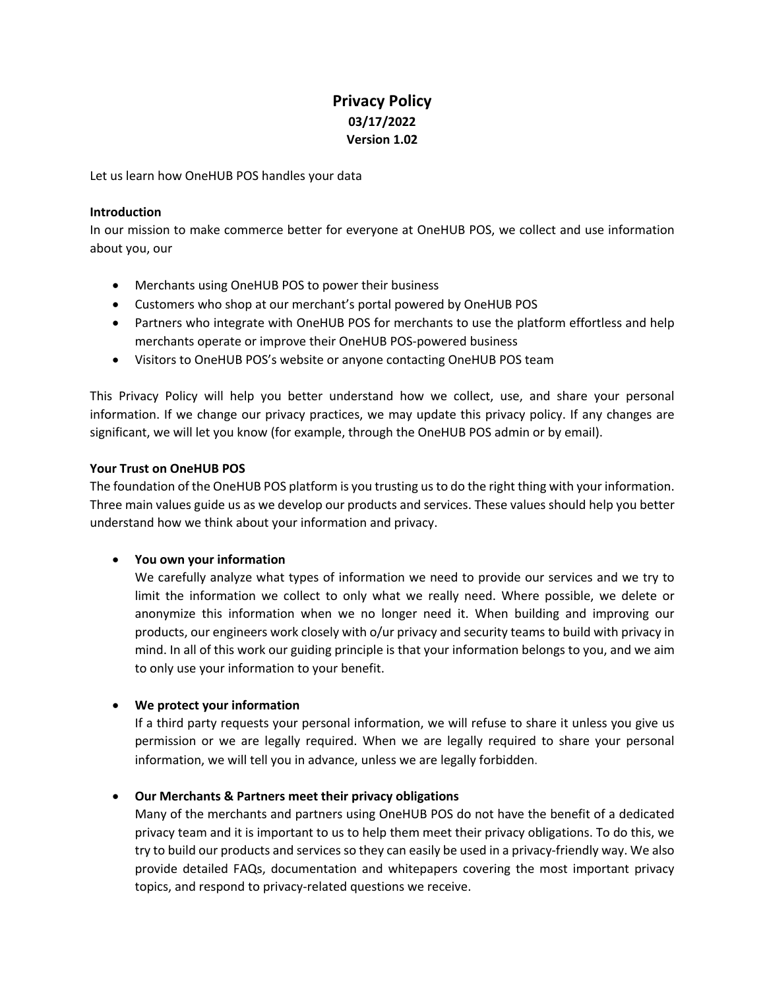# **Privacy Policy 03/17/2022 Version 1.02**

Let us learn how OneHUB POS handles your data

#### **Introduction**

In our mission to make commerce better for everyone at OneHUB POS, we collect and use information about you, our

- Merchants using OneHUB POS to power their business
- Customers who shop at our merchant's portal powered by OneHUB POS
- Partners who integrate with OneHUB POS for merchants to use the platform effortless and help merchants operate or improve their OneHUB POS-powered business
- Visitors to OneHUB POS's website or anyone contacting OneHUB POS team

This Privacy Policy will help you better understand how we collect, use, and share your personal information. If we change our privacy practices, we may update this privacy policy. If any changes are significant, we will let you know (for example, through the OneHUB POS admin or by email).

#### **Your Trust on OneHUB POS**

The foundation of the OneHUB POS platform is you trusting us to do the right thing with your information. Three main values guide us as we develop our products and services. These values should help you better understand how we think about your information and privacy.

## • **You own your information**

We carefully analyze what types of information we need to provide our services and we try to limit the information we collect to only what we really need. Where possible, we delete or anonymize this information when we no longer need it. When building and improving our products, our engineers work closely with o/ur privacy and security teams to build with privacy in mind. In all of this work our guiding principle is that your information belongs to you, and we aim to only use your information to your benefit.

## • **We protect your information**

If a third party requests your personal information, we will refuse to share it unless you give us permission or we are legally required. When we are legally required to share your personal information, we will tell you in advance, unless we are legally forbidden.

## • **Our Merchants & Partners meet their privacy obligations**

Many of the merchants and partners using OneHUB POS do not have the benefit of a dedicated privacy team and it is important to us to help them meet their privacy obligations. To do this, we try to build our products and services so they can easily be used in a privacy-friendly way. We also provide detailed FAQs, documentation and whitepapers covering the most important privacy topics, and respond to privacy-related questions we receive.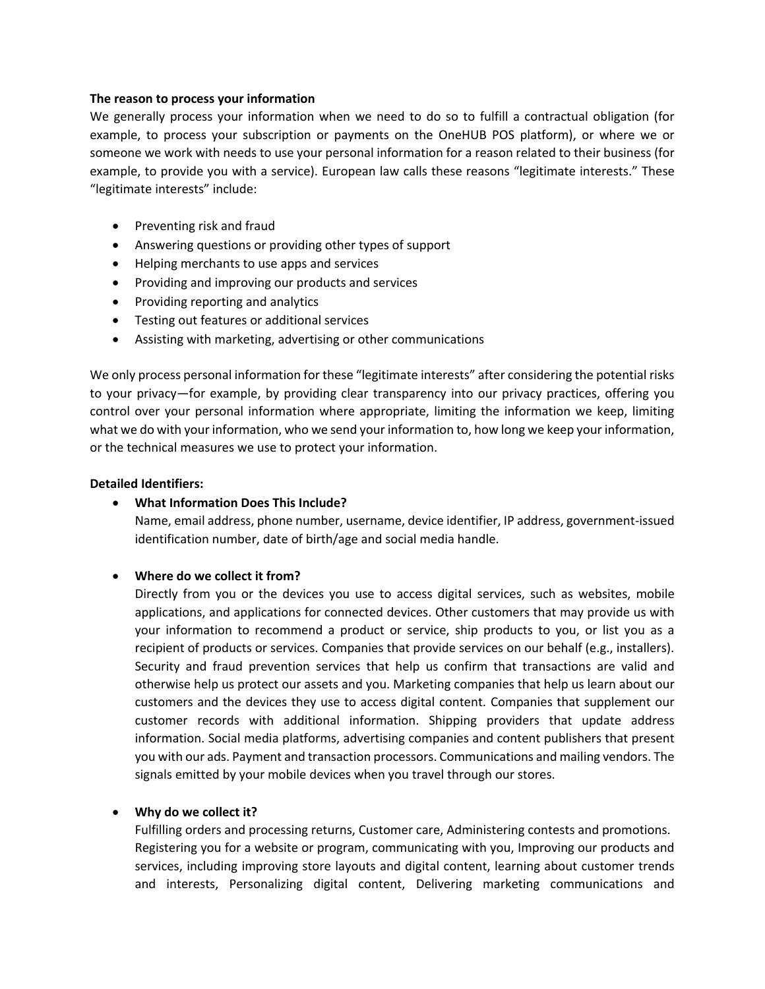#### **The reason to process your information**

We generally process your information when we need to do so to fulfill a contractual obligation (for example, to process your subscription or payments on the OneHUB POS platform), or where we or someone we work with needs to use your personal information for a reason related to their business (for example, to provide you with a service). European law calls these reasons "legitimate interests." These "legitimate interests" include:

- Preventing risk and fraud
- Answering questions or providing other types of support
- Helping merchants to use apps and services
- Providing and improving our products and services
- Providing reporting and analytics
- Testing out features or additional services
- Assisting with marketing, advertising or other communications

We only process personal information for these "legitimate interests" after considering the potential risks to your privacy—for example, by providing clear transparency into our privacy practices, offering you control over your personal information where appropriate, limiting the information we keep, limiting what we do with your information, who we send your information to, how long we keep your information, or the technical measures we use to protect your information.

#### **Detailed Identifiers:**

## • **What Information Does This Include?**

Name, email address, phone number, username, device identifier, IP address, government-issued identification number, date of birth/age and social media handle.

## • **Where do we collect it from?**

Directly from you or the devices you use to access digital services, such as websites, mobile applications, and applications for connected devices. Other customers that may provide us with your information to recommend a product or service, ship products to you, or list you as a recipient of products or services. Companies that provide services on our behalf (e.g., installers). Security and fraud prevention services that help us confirm that transactions are valid and otherwise help us protect our assets and you. Marketing companies that help us learn about our customers and the devices they use to access digital content. Companies that supplement our customer records with additional information. Shipping providers that update address information. Social media platforms, advertising companies and content publishers that present you with our ads. Payment and transaction processors. Communications and mailing vendors. The signals emitted by your mobile devices when you travel through our stores.

## • **Why do we collect it?**

Fulfilling orders and processing returns, Customer care, Administering contests and promotions. Registering you for a website or program, communicating with you, Improving our products and services, including improving store layouts and digital content, learning about customer trends and interests, Personalizing digital content, Delivering marketing communications and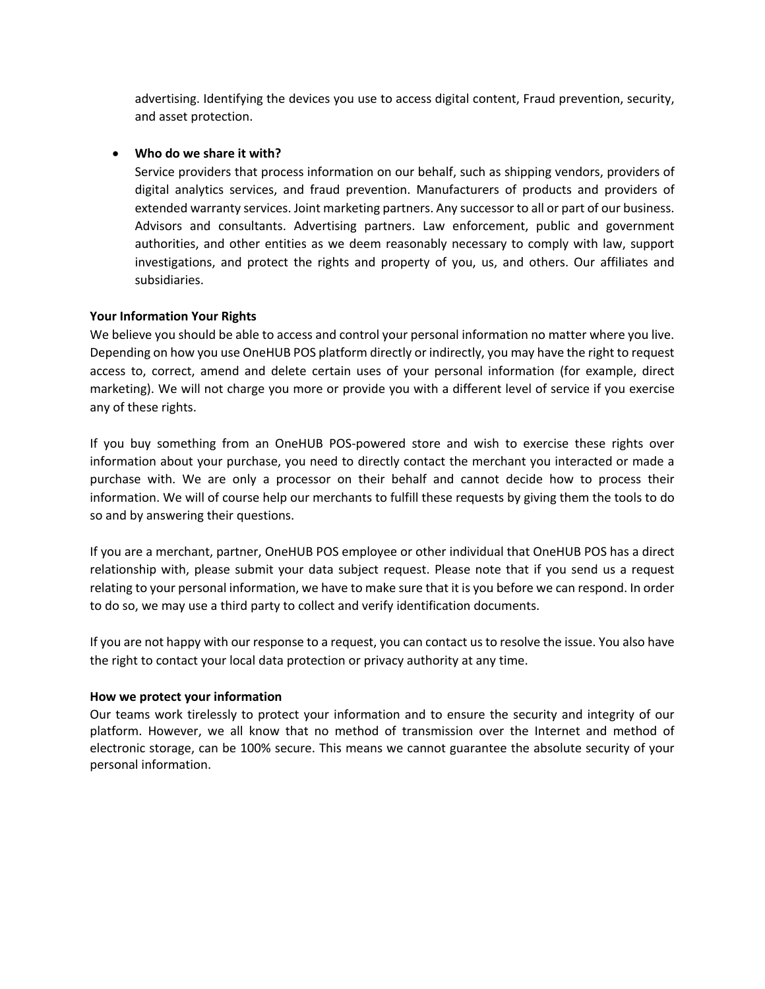advertising. Identifying the devices you use to access digital content, Fraud prevention, security, and asset protection.

## • **Who do we share it with?**

Service providers that process information on our behalf, such as shipping vendors, providers of digital analytics services, and fraud prevention. Manufacturers of products and providers of extended warranty services. Joint marketing partners. Any successor to all or part of our business. Advisors and consultants. Advertising partners. Law enforcement, public and government authorities, and other entities as we deem reasonably necessary to comply with law, support investigations, and protect the rights and property of you, us, and others. Our affiliates and subsidiaries.

## **Your Information Your Rights**

We believe you should be able to access and control your personal information no matter where you live. Depending on how you use OneHUB POS platform directly or indirectly, you may have the right to request access to, correct, amend and delete certain uses of your personal information (for example, direct marketing). We will not charge you more or provide you with a different level of service if you exercise any of these rights.

If you buy something from an OneHUB POS-powered store and wish to exercise these rights over information about your purchase, you need to directly contact the merchant you interacted or made a purchase with. We are only a processor on their behalf and cannot decide how to process their information. We will of course help our merchants to fulfill these requests by giving them the tools to do so and by answering their questions.

If you are a merchant, partner, OneHUB POS employee or other individual that OneHUB POS has a direct relationship with, please submit your data subject request. Please note that if you send us a request relating to your personal information, we have to make sure that it is you before we can respond. In order to do so, we may use a third party to collect and verify identification documents.

If you are not happy with our response to a request, you can contact us to resolve the issue. You also have the right to contact your local data protection or privacy authority at any time.

## **How we protect your information**

Our teams work tirelessly to protect your information and to ensure the security and integrity of our platform. However, we all know that no method of transmission over the Internet and method of electronic storage, can be 100% secure. This means we cannot guarantee the absolute security of your personal information.